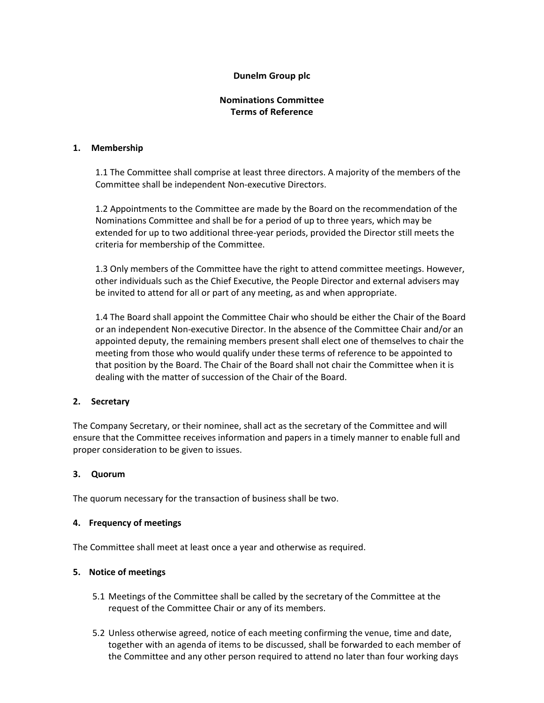# **Dunelm Group plc**

# **Nominations Committee Terms of Reference**

### **1. Membership**

1.1 The Committee shall comprise at least three directors. A majority of the members of the Committee shall be independent Non-executive Directors.

1.2 Appointments to the Committee are made by the Board on the recommendation of the Nominations Committee and shall be for a period of up to three years, which may be extended for up to two additional three-year periods, provided the Director still meets the criteria for membership of the Committee.

1.3 Only members of the Committee have the right to attend committee meetings. However, other individuals such as the Chief Executive, the People Director and external advisers may be invited to attend for all or part of any meeting, as and when appropriate.

1.4 The Board shall appoint the Committee Chair who should be either the Chair of the Board or an independent Non-executive Director. In the absence of the Committee Chair and/or an appointed deputy, the remaining members present shall elect one of themselves to chair the meeting from those who would qualify under these terms of reference to be appointed to that position by the Board. The Chair of the Board shall not chair the Committee when it is dealing with the matter of succession of the Chair of the Board.

### **2. Secretary**

The Company Secretary, or their nominee, shall act as the secretary of the Committee and will ensure that the Committee receives information and papers in a timely manner to enable full and proper consideration to be given to issues.

### **3. Quorum**

The quorum necessary for the transaction of business shall be two.

### **4. Frequency of meetings**

The Committee shall meet at least once a year and otherwise as required.

### **5. Notice of meetings**

- 5.1 Meetings of the Committee shall be called by the secretary of the Committee at the request of the Committee Chair or any of its members.
- 5.2 Unless otherwise agreed, notice of each meeting confirming the venue, time and date, together with an agenda of items to be discussed, shall be forwarded to each member of the Committee and any other person required to attend no later than four working days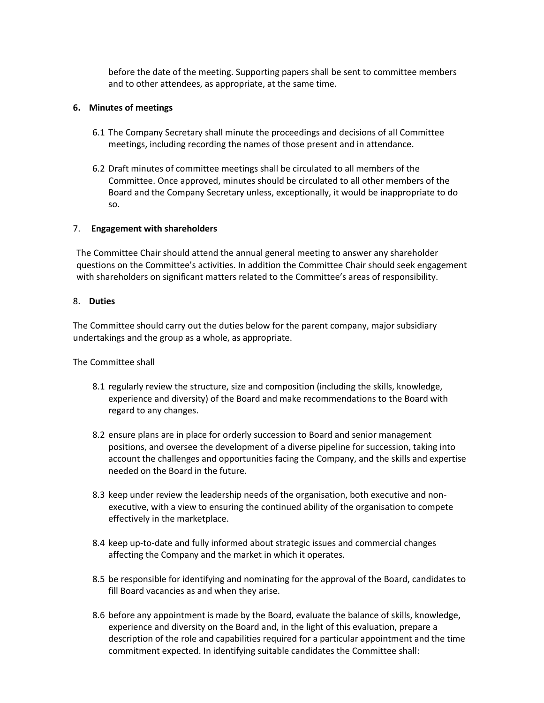before the date of the meeting. Supporting papers shall be sent to committee members and to other attendees, as appropriate, at the same time.

### **6. Minutes of meetings**

- 6.1 The Company Secretary shall minute the proceedings and decisions of all Committee meetings, including recording the names of those present and in attendance.
- 6.2 Draft minutes of committee meetings shall be circulated to all members of the Committee. Once approved, minutes should be circulated to all other members of the Board and the Company Secretary unless, exceptionally, it would be inappropriate to do so.

#### 7. **Engagement with shareholders**

The Committee Chair should attend the annual general meeting to answer any shareholder questions on the Committee's activities. In addition the Committee Chair should seek engagement with shareholders on significant matters related to the Committee's areas of responsibility.

#### 8. **Duties**

The Committee should carry out the duties below for the parent company, major subsidiary undertakings and the group as a whole, as appropriate.

The Committee shall

- 8.1 regularly review the structure, size and composition (including the skills, knowledge, experience and diversity) of the Board and make recommendations to the Board with regard to any changes.
- 8.2 ensure plans are in place for orderly succession to Board and senior management positions, and oversee the development of a diverse pipeline for succession, taking into account the challenges and opportunities facing the Company, and the skills and expertise needed on the Board in the future.
- 8.3 keep under review the leadership needs of the organisation, both executive and nonexecutive, with a view to ensuring the continued ability of the organisation to compete effectively in the marketplace.
- 8.4 keep up-to-date and fully informed about strategic issues and commercial changes affecting the Company and the market in which it operates.
- 8.5 be responsible for identifying and nominating for the approval of the Board, candidates to fill Board vacancies as and when they arise.
- 8.6 before any appointment is made by the Board, evaluate the balance of skills, knowledge, experience and diversity on the Board and, in the light of this evaluation, prepare a description of the role and capabilities required for a particular appointment and the time commitment expected. In identifying suitable candidates the Committee shall: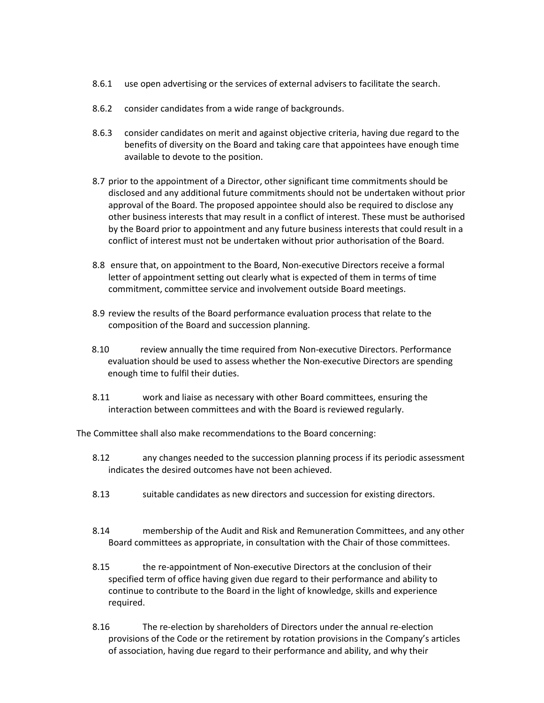- 8.6.1 use open advertising or the services of external advisers to facilitate the search.
- 8.6.2 consider candidates from a wide range of backgrounds.
- 8.6.3 consider candidates on merit and against objective criteria, having due regard to the benefits of diversity on the Board and taking care that appointees have enough time available to devote to the position.
- 8.7 prior to the appointment of a Director, other significant time commitments should be disclosed and any additional future commitments should not be undertaken without prior approval of the Board. The proposed appointee should also be required to disclose any other business interests that may result in a conflict of interest. These must be authorised by the Board prior to appointment and any future business interests that could result in a conflict of interest must not be undertaken without prior authorisation of the Board.
- 8.8 ensure that, on appointment to the Board, Non-executive Directors receive a formal letter of appointment setting out clearly what is expected of them in terms of time commitment, committee service and involvement outside Board meetings.
- 8.9 review the results of the Board performance evaluation process that relate to the composition of the Board and succession planning.
- 8.10 review annually the time required from Non-executive Directors. Performance evaluation should be used to assess whether the Non-executive Directors are spending enough time to fulfil their duties.
- 8.11 work and liaise as necessary with other Board committees, ensuring the interaction between committees and with the Board is reviewed regularly.

The Committee shall also make recommendations to the Board concerning:

- 8.12 any changes needed to the succession planning process if its periodic assessment indicates the desired outcomes have not been achieved.
- 8.13 suitable candidates as new directors and succession for existing directors.
- 8.14 membership of the Audit and Risk and Remuneration Committees, and any other Board committees as appropriate, in consultation with the Chair of those committees.
- 8.15 the re-appointment of Non-executive Directors at the conclusion of their specified term of office having given due regard to their performance and ability to continue to contribute to the Board in the light of knowledge, skills and experience required.
- 8.16 The re-election by shareholders of Directors under the annual re-election provisions of the Code or the retirement by rotation provisions in the Company's articles of association, having due regard to their performance and ability, and why their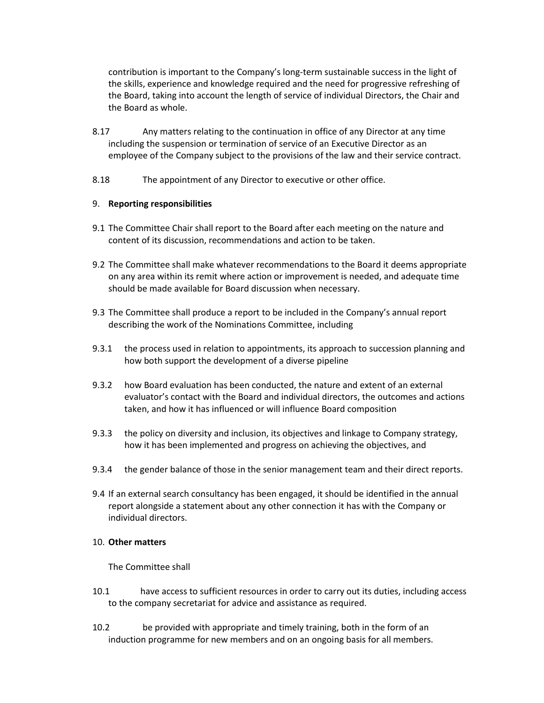contribution is important to the Company's long-term sustainable success in the light of the skills, experience and knowledge required and the need for progressive refreshing of the Board, taking into account the length of service of individual Directors, the Chair and the Board as whole.

- 8.17 Any matters relating to the continuation in office of any Director at any time including the suspension or termination of service of an Executive Director as an employee of the Company subject to the provisions of the law and their service contract.
- 8.18 The appointment of any Director to executive or other office.

### 9. **Reporting responsibilities**

- 9.1 The Committee Chair shall report to the Board after each meeting on the nature and content of its discussion, recommendations and action to be taken.
- 9.2 The Committee shall make whatever recommendations to the Board it deems appropriate on any area within its remit where action or improvement is needed, and adequate time should be made available for Board discussion when necessary.
- 9.3 The Committee shall produce a report to be included in the Company's annual report describing the work of the Nominations Committee, including
- 9.3.1 the process used in relation to appointments, its approach to succession planning and how both support the development of a diverse pipeline
- 9.3.2 how Board evaluation has been conducted, the nature and extent of an external evaluator's contact with the Board and individual directors, the outcomes and actions taken, and how it has influenced or will influence Board composition
- 9.3.3 the policy on diversity and inclusion, its objectives and linkage to Company strategy, how it has been implemented and progress on achieving the objectives, and
- 9.3.4 the gender balance of those in the senior management team and their direct reports.
- 9.4 If an external search consultancy has been engaged, it should be identified in the annual report alongside a statement about any other connection it has with the Company or individual directors.

### 10. **Other matters**

The Committee shall

- 10.1 have access to sufficient resources in order to carry out its duties, including access to the company secretariat for advice and assistance as required.
- 10.2 be provided with appropriate and timely training, both in the form of an induction programme for new members and on an ongoing basis for all members.